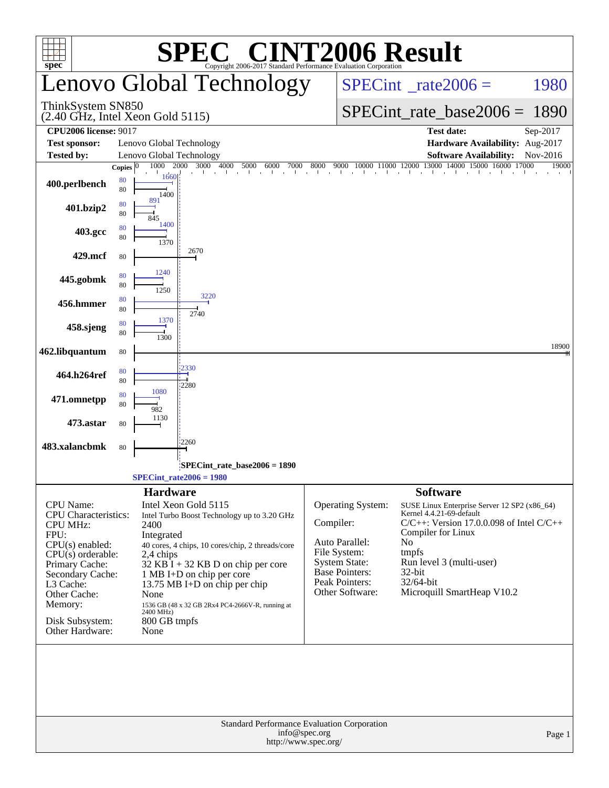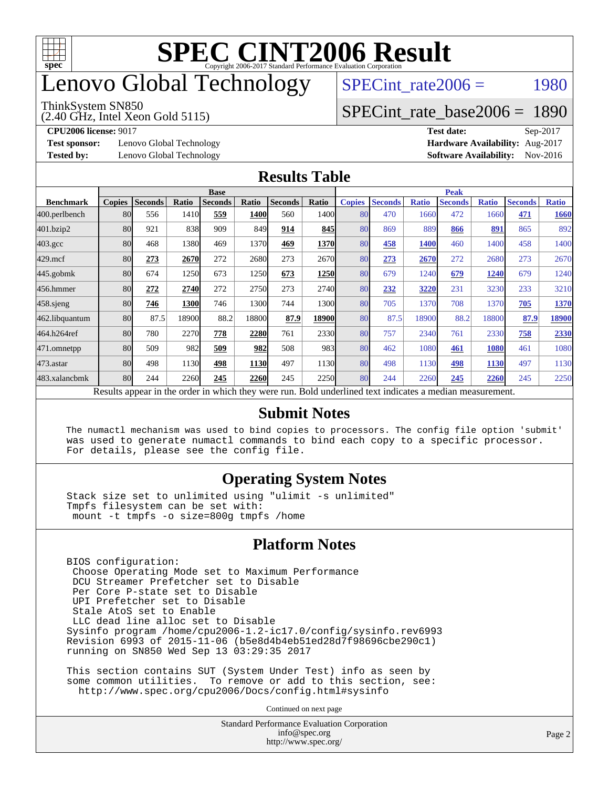

# enovo Global Technology

#### ThinkSystem SN850

(2.40 GHz, Intel Xeon Gold 5115)

SPECint rate $2006 =$  1980

### [SPECint\\_rate\\_base2006 =](http://www.spec.org/auto/cpu2006/Docs/result-fields.html#SPECintratebase2006) 1890

**[Test sponsor:](http://www.spec.org/auto/cpu2006/Docs/result-fields.html#Testsponsor)** Lenovo Global Technology **[Hardware Availability:](http://www.spec.org/auto/cpu2006/Docs/result-fields.html#HardwareAvailability)** Aug-2017

**[CPU2006 license:](http://www.spec.org/auto/cpu2006/Docs/result-fields.html#CPU2006license)** 9017 **[Test date:](http://www.spec.org/auto/cpu2006/Docs/result-fields.html#Testdate)** Sep-2017 **[Tested by:](http://www.spec.org/auto/cpu2006/Docs/result-fields.html#Testedby)** Lenovo Global Technology **[Software Availability:](http://www.spec.org/auto/cpu2006/Docs/result-fields.html#SoftwareAvailability)** Nov-2016

### **[Results Table](http://www.spec.org/auto/cpu2006/Docs/result-fields.html#ResultsTable)**

|                    | <b>Base</b>   |                |       |                                                                                                          |       |                |       | <b>Peak</b>   |                |              |                |              |                |              |
|--------------------|---------------|----------------|-------|----------------------------------------------------------------------------------------------------------|-------|----------------|-------|---------------|----------------|--------------|----------------|--------------|----------------|--------------|
| <b>Benchmark</b>   | <b>Copies</b> | <b>Seconds</b> | Ratio | <b>Seconds</b>                                                                                           | Ratio | <b>Seconds</b> | Ratio | <b>Copies</b> | <b>Seconds</b> | <b>Ratio</b> | <b>Seconds</b> | <b>Ratio</b> | <b>Seconds</b> | <b>Ratio</b> |
| 400.perlbench      | 80            | 556            | 1410  | 559                                                                                                      | 1400  | 560            | 1400  | 80            | 470            | 1660         | 472            | 1660         | 471            | 1660         |
| 401.bzip2          | 80            | 921            | 838   | 909                                                                                                      | 849   | 914            | 845   | 80            | 869            | 889          | 866            | 891          | 865            | 892          |
| $403.\mathrm{gcc}$ | 80            | 468            | 1380  | 469                                                                                                      | 1370  | 469            | 1370  | 80            | 458            | 1400         | 460            | 1400         | 458            | 1400         |
| $429$ .mcf         | 80            | 273            | 2670  | 272                                                                                                      | 2680  | 273            | 2670  | 80            | 273            | 2670         | 272            | 2680         | 273            | 2670         |
| $445$ .gobmk       | 80            | 674            | 1250  | 673                                                                                                      | 1250  | 673            | 1250  | 80            | 679            | 1240         | 679            | 1240         | 679            | 1240         |
| 456.hmmer          | 80            | 272            | 2740  | 272                                                                                                      | 2750  | 273            | 2740  | 80            | 232            | 3220         | 231            | 3230         | 233            | 3210         |
| $458$ .sjeng       | 80            | 746            | 1300  | 746                                                                                                      | 1300l | 744            | 1300  | 80            | 705            | 1370         | 708            | 1370         | 705            | 1370         |
| 462.libquantum     | 80            | 87.5           | 18900 | 88.2                                                                                                     | 18800 | 87.9           | 18900 | 80            | 87.5           | 18900        | 88.2           | 18800        | 87.9           | 18900        |
| 464.h264ref        | 80            | 780            | 2270  | 778                                                                                                      | 2280  | 761            | 2330  | 80            | 757            | 2340         | 761            | 2330         | 758            | 2330         |
| 471.omnetpp        | 80            | 509            | 982   | 509                                                                                                      | 982   | 508            | 983   | 80            | 462            | 1080         | 461            | 1080         | 461            | 1080         |
| $473$ . astar      | 80            | 498            | 1130  | 498                                                                                                      | 1130  | 497            | 1130  | 80            | 498            | 1130         | 498            | 1130         | 497            | 1130         |
| 483.xalancbmk      | 80            | 244            | 2260  | 245                                                                                                      | 2260  | 245            | 2250  | 80            | 244            | 2260         | 245            | 2260         | 245            | 2250         |
|                    |               |                |       | Results appear in the order in which they were run. Bold underlined text indicates a median measurement. |       |                |       |               |                |              |                |              |                |              |

### **[Submit Notes](http://www.spec.org/auto/cpu2006/Docs/result-fields.html#SubmitNotes)**

 The numactl mechanism was used to bind copies to processors. The config file option 'submit' was used to generate numactl commands to bind each copy to a specific processor. For details, please see the config file.

### **[Operating System Notes](http://www.spec.org/auto/cpu2006/Docs/result-fields.html#OperatingSystemNotes)**

 Stack size set to unlimited using "ulimit -s unlimited" Tmpfs filesystem can be set with: mount -t tmpfs -o size=800g tmpfs /home

### **[Platform Notes](http://www.spec.org/auto/cpu2006/Docs/result-fields.html#PlatformNotes)**

 BIOS configuration: Choose Operating Mode set to Maximum Performance DCU Streamer Prefetcher set to Disable Per Core P-state set to Disable UPI Prefetcher set to Disable Stale AtoS set to Enable LLC dead line alloc set to Disable Sysinfo program /home/cpu2006-1.2-ic17.0/config/sysinfo.rev6993 Revision 6993 of 2015-11-06 (b5e8d4b4eb51ed28d7f98696cbe290c1) running on SN850 Wed Sep 13 03:29:35 2017

 This section contains SUT (System Under Test) info as seen by some common utilities. To remove or add to this section, see: <http://www.spec.org/cpu2006/Docs/config.html#sysinfo>

Continued on next page

Standard Performance Evaluation Corporation [info@spec.org](mailto:info@spec.org) <http://www.spec.org/>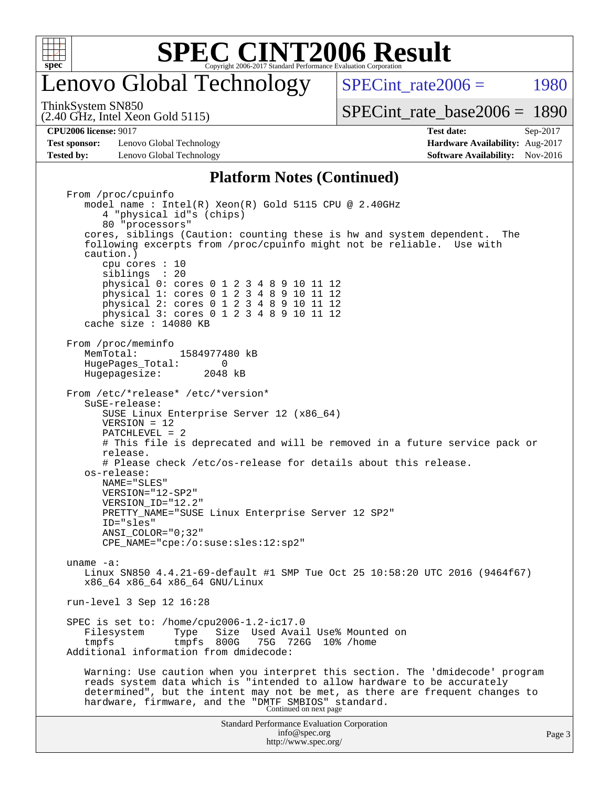

## enovo Global Technology

SPECint rate $2006 =$  1980

(2.40 GHz, Intel Xeon Gold 5115) ThinkSystem SN850

[SPECint\\_rate\\_base2006 =](http://www.spec.org/auto/cpu2006/Docs/result-fields.html#SPECintratebase2006) 1890

**[Test sponsor:](http://www.spec.org/auto/cpu2006/Docs/result-fields.html#Testsponsor)** Lenovo Global Technology **[Hardware Availability:](http://www.spec.org/auto/cpu2006/Docs/result-fields.html#HardwareAvailability)** Aug-2017 **[Tested by:](http://www.spec.org/auto/cpu2006/Docs/result-fields.html#Testedby)** Lenovo Global Technology **[Software Availability:](http://www.spec.org/auto/cpu2006/Docs/result-fields.html#SoftwareAvailability)** Nov-2016

**[CPU2006 license:](http://www.spec.org/auto/cpu2006/Docs/result-fields.html#CPU2006license)** 9017 **[Test date:](http://www.spec.org/auto/cpu2006/Docs/result-fields.html#Testdate)** Sep-2017

### **[Platform Notes \(Continued\)](http://www.spec.org/auto/cpu2006/Docs/result-fields.html#PlatformNotes)**

Standard Performance Evaluation Corporation [info@spec.org](mailto:info@spec.org) <http://www.spec.org/> Page 3 From /proc/cpuinfo model name : Intel(R) Xeon(R) Gold 5115 CPU @ 2.40GHz 4 "physical id"s (chips) 80 "processors" cores, siblings (Caution: counting these is hw and system dependent. The following excerpts from /proc/cpuinfo might not be reliable. Use with caution.) cpu cores : 10 siblings : 20 physical 0: cores 0 1 2 3 4 8 9 10 11 12 physical 1: cores 0 1 2 3 4 8 9 10 11 12 physical 2: cores 0 1 2 3 4 8 9 10 11 12 physical 3: cores 0 1 2 3 4 8 9 10 11 12 cache size : 14080 KB From /proc/meminfo<br>MemTotal: 1584977480 kB HugePages\_Total: 0<br>Hugepagesize: 2048 kB Hugepagesize: From /etc/\*release\* /etc/\*version\* SuSE-release: SUSE Linux Enterprise Server 12 (x86\_64) VERSION = 12 PATCHLEVEL = 2 # This file is deprecated and will be removed in a future service pack or release. # Please check /etc/os-release for details about this release. os-release: NAME="SLES" VERSION="12-SP2" VERSION\_ID="12.2" PRETTY\_NAME="SUSE Linux Enterprise Server 12 SP2" ID="sles" ANSI\_COLOR="0;32" CPE\_NAME="cpe:/o:suse:sles:12:sp2" uname -a: Linux SN850 4.4.21-69-default #1 SMP Tue Oct 25 10:58:20 UTC 2016 (9464f67) x86\_64 x86\_64 x86\_64 GNU/Linux run-level 3 Sep 12 16:28 SPEC is set to: /home/cpu2006-1.2-ic17.0 Filesystem Type Size Used Avail Use% Mounted on tmpfs tmpfs 800G 75G 726G 10% /home Additional information from dmidecode: Warning: Use caution when you interpret this section. The 'dmidecode' program reads system data which is "intended to allow hardware to be accurately determined", but the intent may not be met, as there are frequent changes to hardware, firmware, and the "DMTF SMBIOS" standard.<br>Continued on next page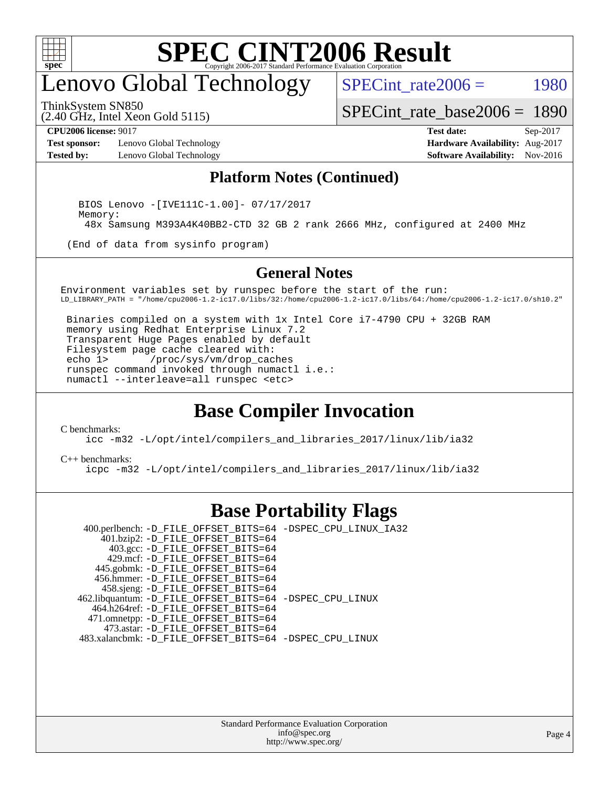

## enovo Global Technology

SPECint rate $2006 =$  1980

ThinkSystem SN850

(2.40 GHz, Intel Xeon Gold 5115)

[SPECint\\_rate\\_base2006 =](http://www.spec.org/auto/cpu2006/Docs/result-fields.html#SPECintratebase2006) 1890

**[Test sponsor:](http://www.spec.org/auto/cpu2006/Docs/result-fields.html#Testsponsor)** Lenovo Global Technology **[Hardware Availability:](http://www.spec.org/auto/cpu2006/Docs/result-fields.html#HardwareAvailability)** Aug-2017 **[Tested by:](http://www.spec.org/auto/cpu2006/Docs/result-fields.html#Testedby)** Lenovo Global Technology **[Software Availability:](http://www.spec.org/auto/cpu2006/Docs/result-fields.html#SoftwareAvailability)** Nov-2016

**[CPU2006 license:](http://www.spec.org/auto/cpu2006/Docs/result-fields.html#CPU2006license)** 9017 **[Test date:](http://www.spec.org/auto/cpu2006/Docs/result-fields.html#Testdate)** Sep-2017

### **[Platform Notes \(Continued\)](http://www.spec.org/auto/cpu2006/Docs/result-fields.html#PlatformNotes)**

 BIOS Lenovo -[IVE111C-1.00]- 07/17/2017 Memory: 48x Samsung M393A4K40BB2-CTD 32 GB 2 rank 2666 MHz, configured at 2400 MHz

(End of data from sysinfo program)

#### **[General Notes](http://www.spec.org/auto/cpu2006/Docs/result-fields.html#GeneralNotes)**

Environment variables set by runspec before the start of the run: LD\_LIBRARY\_PATH = "/home/cpu2006-1.2-ic17.0/libs/32:/home/cpu2006-1.2-ic17.0/libs/64:/home/cpu2006-1.2-ic17.0/sh10.2"

 Binaries compiled on a system with 1x Intel Core i7-4790 CPU + 32GB RAM memory using Redhat Enterprise Linux 7.2 Transparent Huge Pages enabled by default Filesystem page cache cleared with:<br>echo 1> /proc/sys/vm/drop cac /proc/sys/vm/drop\_caches runspec command invoked through numactl i.e.: numactl --interleave=all runspec <etc>

### **[Base Compiler Invocation](http://www.spec.org/auto/cpu2006/Docs/result-fields.html#BaseCompilerInvocation)**

[C benchmarks](http://www.spec.org/auto/cpu2006/Docs/result-fields.html#Cbenchmarks):

[icc -m32 -L/opt/intel/compilers\\_and\\_libraries\\_2017/linux/lib/ia32](http://www.spec.org/cpu2006/results/res2017q4/cpu2006-20170918-49980.flags.html#user_CCbase_intel_icc_c29f3ff5a7ed067b11e4ec10a03f03ae)

[C++ benchmarks:](http://www.spec.org/auto/cpu2006/Docs/result-fields.html#CXXbenchmarks) [icpc -m32 -L/opt/intel/compilers\\_and\\_libraries\\_2017/linux/lib/ia32](http://www.spec.org/cpu2006/results/res2017q4/cpu2006-20170918-49980.flags.html#user_CXXbase_intel_icpc_8c35c7808b62dab9ae41a1aa06361b6b)

### **[Base Portability Flags](http://www.spec.org/auto/cpu2006/Docs/result-fields.html#BasePortabilityFlags)**

 400.perlbench: [-D\\_FILE\\_OFFSET\\_BITS=64](http://www.spec.org/cpu2006/results/res2017q4/cpu2006-20170918-49980.flags.html#user_basePORTABILITY400_perlbench_file_offset_bits_64_438cf9856305ebd76870a2c6dc2689ab) [-DSPEC\\_CPU\\_LINUX\\_IA32](http://www.spec.org/cpu2006/results/res2017q4/cpu2006-20170918-49980.flags.html#b400.perlbench_baseCPORTABILITY_DSPEC_CPU_LINUX_IA32) 401.bzip2: [-D\\_FILE\\_OFFSET\\_BITS=64](http://www.spec.org/cpu2006/results/res2017q4/cpu2006-20170918-49980.flags.html#user_basePORTABILITY401_bzip2_file_offset_bits_64_438cf9856305ebd76870a2c6dc2689ab) 403.gcc: [-D\\_FILE\\_OFFSET\\_BITS=64](http://www.spec.org/cpu2006/results/res2017q4/cpu2006-20170918-49980.flags.html#user_basePORTABILITY403_gcc_file_offset_bits_64_438cf9856305ebd76870a2c6dc2689ab) 429.mcf: [-D\\_FILE\\_OFFSET\\_BITS=64](http://www.spec.org/cpu2006/results/res2017q4/cpu2006-20170918-49980.flags.html#user_basePORTABILITY429_mcf_file_offset_bits_64_438cf9856305ebd76870a2c6dc2689ab) 445.gobmk: [-D\\_FILE\\_OFFSET\\_BITS=64](http://www.spec.org/cpu2006/results/res2017q4/cpu2006-20170918-49980.flags.html#user_basePORTABILITY445_gobmk_file_offset_bits_64_438cf9856305ebd76870a2c6dc2689ab) 456.hmmer: [-D\\_FILE\\_OFFSET\\_BITS=64](http://www.spec.org/cpu2006/results/res2017q4/cpu2006-20170918-49980.flags.html#user_basePORTABILITY456_hmmer_file_offset_bits_64_438cf9856305ebd76870a2c6dc2689ab) 458.sjeng: [-D\\_FILE\\_OFFSET\\_BITS=64](http://www.spec.org/cpu2006/results/res2017q4/cpu2006-20170918-49980.flags.html#user_basePORTABILITY458_sjeng_file_offset_bits_64_438cf9856305ebd76870a2c6dc2689ab) 462.libquantum: [-D\\_FILE\\_OFFSET\\_BITS=64](http://www.spec.org/cpu2006/results/res2017q4/cpu2006-20170918-49980.flags.html#user_basePORTABILITY462_libquantum_file_offset_bits_64_438cf9856305ebd76870a2c6dc2689ab) [-DSPEC\\_CPU\\_LINUX](http://www.spec.org/cpu2006/results/res2017q4/cpu2006-20170918-49980.flags.html#b462.libquantum_baseCPORTABILITY_DSPEC_CPU_LINUX) 464.h264ref: [-D\\_FILE\\_OFFSET\\_BITS=64](http://www.spec.org/cpu2006/results/res2017q4/cpu2006-20170918-49980.flags.html#user_basePORTABILITY464_h264ref_file_offset_bits_64_438cf9856305ebd76870a2c6dc2689ab) 471.omnetpp: [-D\\_FILE\\_OFFSET\\_BITS=64](http://www.spec.org/cpu2006/results/res2017q4/cpu2006-20170918-49980.flags.html#user_basePORTABILITY471_omnetpp_file_offset_bits_64_438cf9856305ebd76870a2c6dc2689ab) 473.astar: [-D\\_FILE\\_OFFSET\\_BITS=64](http://www.spec.org/cpu2006/results/res2017q4/cpu2006-20170918-49980.flags.html#user_basePORTABILITY473_astar_file_offset_bits_64_438cf9856305ebd76870a2c6dc2689ab) 483.xalancbmk: [-D\\_FILE\\_OFFSET\\_BITS=64](http://www.spec.org/cpu2006/results/res2017q4/cpu2006-20170918-49980.flags.html#user_basePORTABILITY483_xalancbmk_file_offset_bits_64_438cf9856305ebd76870a2c6dc2689ab) [-DSPEC\\_CPU\\_LINUX](http://www.spec.org/cpu2006/results/res2017q4/cpu2006-20170918-49980.flags.html#b483.xalancbmk_baseCXXPORTABILITY_DSPEC_CPU_LINUX)

> Standard Performance Evaluation Corporation [info@spec.org](mailto:info@spec.org) <http://www.spec.org/>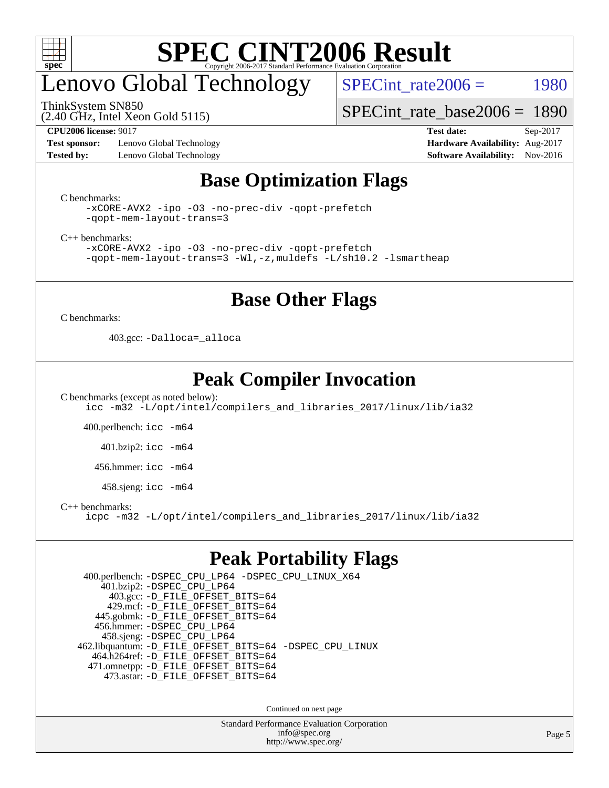

# enovo Global Technology

SPECint rate $2006 =$  1980

ThinkSystem SN850

(2.40 GHz, Intel Xeon Gold 5115)

[SPECint\\_rate\\_base2006 =](http://www.spec.org/auto/cpu2006/Docs/result-fields.html#SPECintratebase2006) 1890

**[Test sponsor:](http://www.spec.org/auto/cpu2006/Docs/result-fields.html#Testsponsor)** Lenovo Global Technology **[Hardware Availability:](http://www.spec.org/auto/cpu2006/Docs/result-fields.html#HardwareAvailability)** Aug-2017 **[Tested by:](http://www.spec.org/auto/cpu2006/Docs/result-fields.html#Testedby)** Lenovo Global Technology **[Software Availability:](http://www.spec.org/auto/cpu2006/Docs/result-fields.html#SoftwareAvailability)** Nov-2016

**[CPU2006 license:](http://www.spec.org/auto/cpu2006/Docs/result-fields.html#CPU2006license)** 9017 **[Test date:](http://www.spec.org/auto/cpu2006/Docs/result-fields.html#Testdate)** Sep-2017

### **[Base Optimization Flags](http://www.spec.org/auto/cpu2006/Docs/result-fields.html#BaseOptimizationFlags)**

[C benchmarks](http://www.spec.org/auto/cpu2006/Docs/result-fields.html#Cbenchmarks):

[-xCORE-AVX2](http://www.spec.org/cpu2006/results/res2017q4/cpu2006-20170918-49980.flags.html#user_CCbase_f-xCORE-AVX2) [-ipo](http://www.spec.org/cpu2006/results/res2017q4/cpu2006-20170918-49980.flags.html#user_CCbase_f-ipo) [-O3](http://www.spec.org/cpu2006/results/res2017q4/cpu2006-20170918-49980.flags.html#user_CCbase_f-O3) [-no-prec-div](http://www.spec.org/cpu2006/results/res2017q4/cpu2006-20170918-49980.flags.html#user_CCbase_f-no-prec-div) [-qopt-prefetch](http://www.spec.org/cpu2006/results/res2017q4/cpu2006-20170918-49980.flags.html#user_CCbase_f-qopt-prefetch) [-qopt-mem-layout-trans=3](http://www.spec.org/cpu2006/results/res2017q4/cpu2006-20170918-49980.flags.html#user_CCbase_f-qopt-mem-layout-trans_170f5be61cd2cedc9b54468c59262d5d)

[C++ benchmarks:](http://www.spec.org/auto/cpu2006/Docs/result-fields.html#CXXbenchmarks)

[-xCORE-AVX2](http://www.spec.org/cpu2006/results/res2017q4/cpu2006-20170918-49980.flags.html#user_CXXbase_f-xCORE-AVX2) [-ipo](http://www.spec.org/cpu2006/results/res2017q4/cpu2006-20170918-49980.flags.html#user_CXXbase_f-ipo) [-O3](http://www.spec.org/cpu2006/results/res2017q4/cpu2006-20170918-49980.flags.html#user_CXXbase_f-O3) [-no-prec-div](http://www.spec.org/cpu2006/results/res2017q4/cpu2006-20170918-49980.flags.html#user_CXXbase_f-no-prec-div) [-qopt-prefetch](http://www.spec.org/cpu2006/results/res2017q4/cpu2006-20170918-49980.flags.html#user_CXXbase_f-qopt-prefetch) [-qopt-mem-layout-trans=3](http://www.spec.org/cpu2006/results/res2017q4/cpu2006-20170918-49980.flags.html#user_CXXbase_f-qopt-mem-layout-trans_170f5be61cd2cedc9b54468c59262d5d) [-Wl,-z,muldefs](http://www.spec.org/cpu2006/results/res2017q4/cpu2006-20170918-49980.flags.html#user_CXXbase_link_force_multiple1_74079c344b956b9658436fd1b6dd3a8a) [-L/sh10.2 -lsmartheap](http://www.spec.org/cpu2006/results/res2017q4/cpu2006-20170918-49980.flags.html#user_CXXbase_SmartHeap_b831f2d313e2fffa6dfe3f00ffc1f1c0)

### **[Base Other Flags](http://www.spec.org/auto/cpu2006/Docs/result-fields.html#BaseOtherFlags)**

[C benchmarks](http://www.spec.org/auto/cpu2006/Docs/result-fields.html#Cbenchmarks):

403.gcc: [-Dalloca=\\_alloca](http://www.spec.org/cpu2006/results/res2017q4/cpu2006-20170918-49980.flags.html#b403.gcc_baseEXTRA_CFLAGS_Dalloca_be3056838c12de2578596ca5467af7f3)

### **[Peak Compiler Invocation](http://www.spec.org/auto/cpu2006/Docs/result-fields.html#PeakCompilerInvocation)**

[C benchmarks \(except as noted below\)](http://www.spec.org/auto/cpu2006/Docs/result-fields.html#Cbenchmarksexceptasnotedbelow): [icc -m32 -L/opt/intel/compilers\\_and\\_libraries\\_2017/linux/lib/ia32](http://www.spec.org/cpu2006/results/res2017q4/cpu2006-20170918-49980.flags.html#user_CCpeak_intel_icc_c29f3ff5a7ed067b11e4ec10a03f03ae)

400.perlbench: [icc -m64](http://www.spec.org/cpu2006/results/res2017q4/cpu2006-20170918-49980.flags.html#user_peakCCLD400_perlbench_intel_icc_64bit_bda6cc9af1fdbb0edc3795bac97ada53)

401.bzip2: [icc -m64](http://www.spec.org/cpu2006/results/res2017q4/cpu2006-20170918-49980.flags.html#user_peakCCLD401_bzip2_intel_icc_64bit_bda6cc9af1fdbb0edc3795bac97ada53)

456.hmmer: [icc -m64](http://www.spec.org/cpu2006/results/res2017q4/cpu2006-20170918-49980.flags.html#user_peakCCLD456_hmmer_intel_icc_64bit_bda6cc9af1fdbb0edc3795bac97ada53)

458.sjeng: [icc -m64](http://www.spec.org/cpu2006/results/res2017q4/cpu2006-20170918-49980.flags.html#user_peakCCLD458_sjeng_intel_icc_64bit_bda6cc9af1fdbb0edc3795bac97ada53)

[C++ benchmarks:](http://www.spec.org/auto/cpu2006/Docs/result-fields.html#CXXbenchmarks)

[icpc -m32 -L/opt/intel/compilers\\_and\\_libraries\\_2017/linux/lib/ia32](http://www.spec.org/cpu2006/results/res2017q4/cpu2006-20170918-49980.flags.html#user_CXXpeak_intel_icpc_8c35c7808b62dab9ae41a1aa06361b6b)

### **[Peak Portability Flags](http://www.spec.org/auto/cpu2006/Docs/result-fields.html#PeakPortabilityFlags)**

 400.perlbench: [-DSPEC\\_CPU\\_LP64](http://www.spec.org/cpu2006/results/res2017q4/cpu2006-20170918-49980.flags.html#b400.perlbench_peakCPORTABILITY_DSPEC_CPU_LP64) [-DSPEC\\_CPU\\_LINUX\\_X64](http://www.spec.org/cpu2006/results/res2017q4/cpu2006-20170918-49980.flags.html#b400.perlbench_peakCPORTABILITY_DSPEC_CPU_LINUX_X64) 401.bzip2: [-DSPEC\\_CPU\\_LP64](http://www.spec.org/cpu2006/results/res2017q4/cpu2006-20170918-49980.flags.html#suite_peakCPORTABILITY401_bzip2_DSPEC_CPU_LP64) 403.gcc: [-D\\_FILE\\_OFFSET\\_BITS=64](http://www.spec.org/cpu2006/results/res2017q4/cpu2006-20170918-49980.flags.html#user_peakPORTABILITY403_gcc_file_offset_bits_64_438cf9856305ebd76870a2c6dc2689ab) 429.mcf: [-D\\_FILE\\_OFFSET\\_BITS=64](http://www.spec.org/cpu2006/results/res2017q4/cpu2006-20170918-49980.flags.html#user_peakPORTABILITY429_mcf_file_offset_bits_64_438cf9856305ebd76870a2c6dc2689ab) 445.gobmk: [-D\\_FILE\\_OFFSET\\_BITS=64](http://www.spec.org/cpu2006/results/res2017q4/cpu2006-20170918-49980.flags.html#user_peakPORTABILITY445_gobmk_file_offset_bits_64_438cf9856305ebd76870a2c6dc2689ab) 456.hmmer: [-DSPEC\\_CPU\\_LP64](http://www.spec.org/cpu2006/results/res2017q4/cpu2006-20170918-49980.flags.html#suite_peakCPORTABILITY456_hmmer_DSPEC_CPU_LP64) 458.sjeng: [-DSPEC\\_CPU\\_LP64](http://www.spec.org/cpu2006/results/res2017q4/cpu2006-20170918-49980.flags.html#suite_peakCPORTABILITY458_sjeng_DSPEC_CPU_LP64) 462.libquantum: [-D\\_FILE\\_OFFSET\\_BITS=64](http://www.spec.org/cpu2006/results/res2017q4/cpu2006-20170918-49980.flags.html#user_peakPORTABILITY462_libquantum_file_offset_bits_64_438cf9856305ebd76870a2c6dc2689ab) [-DSPEC\\_CPU\\_LINUX](http://www.spec.org/cpu2006/results/res2017q4/cpu2006-20170918-49980.flags.html#b462.libquantum_peakCPORTABILITY_DSPEC_CPU_LINUX) 464.h264ref: [-D\\_FILE\\_OFFSET\\_BITS=64](http://www.spec.org/cpu2006/results/res2017q4/cpu2006-20170918-49980.flags.html#user_peakPORTABILITY464_h264ref_file_offset_bits_64_438cf9856305ebd76870a2c6dc2689ab) 471.omnetpp: [-D\\_FILE\\_OFFSET\\_BITS=64](http://www.spec.org/cpu2006/results/res2017q4/cpu2006-20170918-49980.flags.html#user_peakPORTABILITY471_omnetpp_file_offset_bits_64_438cf9856305ebd76870a2c6dc2689ab) 473.astar: [-D\\_FILE\\_OFFSET\\_BITS=64](http://www.spec.org/cpu2006/results/res2017q4/cpu2006-20170918-49980.flags.html#user_peakPORTABILITY473_astar_file_offset_bits_64_438cf9856305ebd76870a2c6dc2689ab)

Continued on next page

Standard Performance Evaluation Corporation [info@spec.org](mailto:info@spec.org) <http://www.spec.org/>

Page 5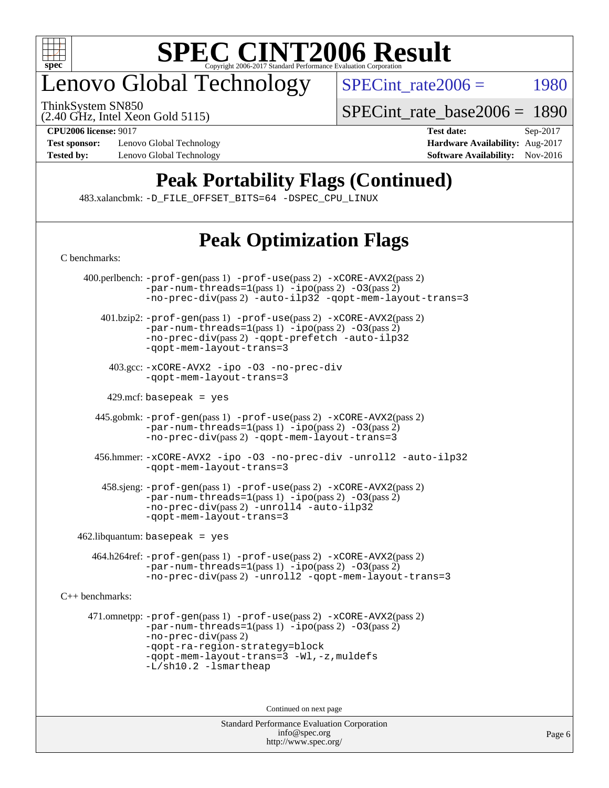

# enovo Global Technology

ThinkSystem SN850

SPECint rate $2006 =$  1980

(2.40 GHz, Intel Xeon Gold 5115)

[SPECint\\_rate\\_base2006 =](http://www.spec.org/auto/cpu2006/Docs/result-fields.html#SPECintratebase2006) 1890

**[Test sponsor:](http://www.spec.org/auto/cpu2006/Docs/result-fields.html#Testsponsor)** Lenovo Global Technology **[Hardware Availability:](http://www.spec.org/auto/cpu2006/Docs/result-fields.html#HardwareAvailability)** Aug-2017 **[Tested by:](http://www.spec.org/auto/cpu2006/Docs/result-fields.html#Testedby)** Lenovo Global Technology **[Software Availability:](http://www.spec.org/auto/cpu2006/Docs/result-fields.html#SoftwareAvailability)** Nov-2016

**[CPU2006 license:](http://www.spec.org/auto/cpu2006/Docs/result-fields.html#CPU2006license)** 9017 **[Test date:](http://www.spec.org/auto/cpu2006/Docs/result-fields.html#Testdate)** Sep-2017

### **[Peak Portability Flags \(Continued\)](http://www.spec.org/auto/cpu2006/Docs/result-fields.html#PeakPortabilityFlags)**

483.xalancbmk: [-D\\_FILE\\_OFFSET\\_BITS=64](http://www.spec.org/cpu2006/results/res2017q4/cpu2006-20170918-49980.flags.html#user_peakPORTABILITY483_xalancbmk_file_offset_bits_64_438cf9856305ebd76870a2c6dc2689ab) [-DSPEC\\_CPU\\_LINUX](http://www.spec.org/cpu2006/results/res2017q4/cpu2006-20170918-49980.flags.html#b483.xalancbmk_peakCXXPORTABILITY_DSPEC_CPU_LINUX)

## **[Peak Optimization Flags](http://www.spec.org/auto/cpu2006/Docs/result-fields.html#PeakOptimizationFlags)**

[C benchmarks](http://www.spec.org/auto/cpu2006/Docs/result-fields.html#Cbenchmarks): 400.perlbench: [-prof-gen](http://www.spec.org/cpu2006/results/res2017q4/cpu2006-20170918-49980.flags.html#user_peakPASS1_CFLAGSPASS1_LDCFLAGS400_perlbench_prof_gen_e43856698f6ca7b7e442dfd80e94a8fc)(pass 1) [-prof-use](http://www.spec.org/cpu2006/results/res2017q4/cpu2006-20170918-49980.flags.html#user_peakPASS2_CFLAGSPASS2_LDCFLAGS400_perlbench_prof_use_bccf7792157ff70d64e32fe3e1250b55)(pass 2) [-xCORE-AVX2](http://www.spec.org/cpu2006/results/res2017q4/cpu2006-20170918-49980.flags.html#user_peakPASS2_CFLAGSPASS2_LDCFLAGS400_perlbench_f-xCORE-AVX2)(pass 2)  $-par-num-threads=1(pass 1) -ipo(pass 2) -O3(pass 2)$  $-par-num-threads=1(pass 1) -ipo(pass 2) -O3(pass 2)$  $-par-num-threads=1(pass 1) -ipo(pass 2) -O3(pass 2)$  $-par-num-threads=1(pass 1) -ipo(pass 2) -O3(pass 2)$  $-par-num-threads=1(pass 1) -ipo(pass 2) -O3(pass 2)$  $-par-num-threads=1(pass 1) -ipo(pass 2) -O3(pass 2)$ [-no-prec-div](http://www.spec.org/cpu2006/results/res2017q4/cpu2006-20170918-49980.flags.html#user_peakPASS2_CFLAGSPASS2_LDCFLAGS400_perlbench_f-no-prec-div)(pass 2) [-auto-ilp32](http://www.spec.org/cpu2006/results/res2017q4/cpu2006-20170918-49980.flags.html#user_peakCOPTIMIZE400_perlbench_f-auto-ilp32) [-qopt-mem-layout-trans=3](http://www.spec.org/cpu2006/results/res2017q4/cpu2006-20170918-49980.flags.html#user_peakCOPTIMIZE400_perlbench_f-qopt-mem-layout-trans_170f5be61cd2cedc9b54468c59262d5d) 401.bzip2: [-prof-gen](http://www.spec.org/cpu2006/results/res2017q4/cpu2006-20170918-49980.flags.html#user_peakPASS1_CFLAGSPASS1_LDCFLAGS401_bzip2_prof_gen_e43856698f6ca7b7e442dfd80e94a8fc)(pass 1) [-prof-use](http://www.spec.org/cpu2006/results/res2017q4/cpu2006-20170918-49980.flags.html#user_peakPASS2_CFLAGSPASS2_LDCFLAGS401_bzip2_prof_use_bccf7792157ff70d64e32fe3e1250b55)(pass 2) [-xCORE-AVX2](http://www.spec.org/cpu2006/results/res2017q4/cpu2006-20170918-49980.flags.html#user_peakPASS2_CFLAGSPASS2_LDCFLAGS401_bzip2_f-xCORE-AVX2)(pass 2) [-par-num-threads=1](http://www.spec.org/cpu2006/results/res2017q4/cpu2006-20170918-49980.flags.html#user_peakPASS1_CFLAGSPASS1_LDCFLAGS401_bzip2_par_num_threads_786a6ff141b4e9e90432e998842df6c2)(pass 1) [-ipo](http://www.spec.org/cpu2006/results/res2017q4/cpu2006-20170918-49980.flags.html#user_peakPASS2_CFLAGSPASS2_LDCFLAGS401_bzip2_f-ipo)(pass 2) [-O3](http://www.spec.org/cpu2006/results/res2017q4/cpu2006-20170918-49980.flags.html#user_peakPASS2_CFLAGSPASS2_LDCFLAGS401_bzip2_f-O3)(pass 2) [-no-prec-div](http://www.spec.org/cpu2006/results/res2017q4/cpu2006-20170918-49980.flags.html#user_peakPASS2_CFLAGSPASS2_LDCFLAGS401_bzip2_f-no-prec-div)(pass 2) [-qopt-prefetch](http://www.spec.org/cpu2006/results/res2017q4/cpu2006-20170918-49980.flags.html#user_peakCOPTIMIZE401_bzip2_f-qopt-prefetch) [-auto-ilp32](http://www.spec.org/cpu2006/results/res2017q4/cpu2006-20170918-49980.flags.html#user_peakCOPTIMIZE401_bzip2_f-auto-ilp32) [-qopt-mem-layout-trans=3](http://www.spec.org/cpu2006/results/res2017q4/cpu2006-20170918-49980.flags.html#user_peakCOPTIMIZE401_bzip2_f-qopt-mem-layout-trans_170f5be61cd2cedc9b54468c59262d5d) 403.gcc: [-xCORE-AVX2](http://www.spec.org/cpu2006/results/res2017q4/cpu2006-20170918-49980.flags.html#user_peakOPTIMIZE403_gcc_f-xCORE-AVX2) [-ipo](http://www.spec.org/cpu2006/results/res2017q4/cpu2006-20170918-49980.flags.html#user_peakOPTIMIZE403_gcc_f-ipo) [-O3](http://www.spec.org/cpu2006/results/res2017q4/cpu2006-20170918-49980.flags.html#user_peakOPTIMIZE403_gcc_f-O3) [-no-prec-div](http://www.spec.org/cpu2006/results/res2017q4/cpu2006-20170918-49980.flags.html#user_peakOPTIMIZE403_gcc_f-no-prec-div) [-qopt-mem-layout-trans=3](http://www.spec.org/cpu2006/results/res2017q4/cpu2006-20170918-49980.flags.html#user_peakCOPTIMIZE403_gcc_f-qopt-mem-layout-trans_170f5be61cd2cedc9b54468c59262d5d)  $429$ .mcf: basepeak = yes 445.gobmk: [-prof-gen](http://www.spec.org/cpu2006/results/res2017q4/cpu2006-20170918-49980.flags.html#user_peakPASS1_CFLAGSPASS1_LDCFLAGS445_gobmk_prof_gen_e43856698f6ca7b7e442dfd80e94a8fc)(pass 1) [-prof-use](http://www.spec.org/cpu2006/results/res2017q4/cpu2006-20170918-49980.flags.html#user_peakPASS2_CFLAGSPASS2_LDCFLAGSPASS2_LDFLAGS445_gobmk_prof_use_bccf7792157ff70d64e32fe3e1250b55)(pass 2) [-xCORE-AVX2](http://www.spec.org/cpu2006/results/res2017q4/cpu2006-20170918-49980.flags.html#user_peakPASS2_CFLAGSPASS2_LDCFLAGSPASS2_LDFLAGS445_gobmk_f-xCORE-AVX2)(pass 2)  $-par-num-threads=1(pass 1) -ipo(pass 2) -O3(pass 2)$  $-par-num-threads=1(pass 1) -ipo(pass 2) -O3(pass 2)$  $-par-num-threads=1(pass 1) -ipo(pass 2) -O3(pass 2)$  $-par-num-threads=1(pass 1) -ipo(pass 2) -O3(pass 2)$  $-par-num-threads=1(pass 1) -ipo(pass 2) -O3(pass 2)$  $-par-num-threads=1(pass 1) -ipo(pass 2) -O3(pass 2)$ [-no-prec-div](http://www.spec.org/cpu2006/results/res2017q4/cpu2006-20170918-49980.flags.html#user_peakPASS2_LDCFLAGS445_gobmk_f-no-prec-div)(pass 2) [-qopt-mem-layout-trans=3](http://www.spec.org/cpu2006/results/res2017q4/cpu2006-20170918-49980.flags.html#user_peakCOPTIMIZE445_gobmk_f-qopt-mem-layout-trans_170f5be61cd2cedc9b54468c59262d5d) 456.hmmer: [-xCORE-AVX2](http://www.spec.org/cpu2006/results/res2017q4/cpu2006-20170918-49980.flags.html#user_peakOPTIMIZE456_hmmer_f-xCORE-AVX2) [-ipo](http://www.spec.org/cpu2006/results/res2017q4/cpu2006-20170918-49980.flags.html#user_peakOPTIMIZE456_hmmer_f-ipo) [-O3](http://www.spec.org/cpu2006/results/res2017q4/cpu2006-20170918-49980.flags.html#user_peakOPTIMIZE456_hmmer_f-O3) [-no-prec-div](http://www.spec.org/cpu2006/results/res2017q4/cpu2006-20170918-49980.flags.html#user_peakOPTIMIZE456_hmmer_f-no-prec-div) [-unroll2](http://www.spec.org/cpu2006/results/res2017q4/cpu2006-20170918-49980.flags.html#user_peakCOPTIMIZE456_hmmer_f-unroll_784dae83bebfb236979b41d2422d7ec2) [-auto-ilp32](http://www.spec.org/cpu2006/results/res2017q4/cpu2006-20170918-49980.flags.html#user_peakCOPTIMIZE456_hmmer_f-auto-ilp32) [-qopt-mem-layout-trans=3](http://www.spec.org/cpu2006/results/res2017q4/cpu2006-20170918-49980.flags.html#user_peakCOPTIMIZE456_hmmer_f-qopt-mem-layout-trans_170f5be61cd2cedc9b54468c59262d5d) 458.sjeng: [-prof-gen](http://www.spec.org/cpu2006/results/res2017q4/cpu2006-20170918-49980.flags.html#user_peakPASS1_CFLAGSPASS1_LDCFLAGS458_sjeng_prof_gen_e43856698f6ca7b7e442dfd80e94a8fc)(pass 1) [-prof-use](http://www.spec.org/cpu2006/results/res2017q4/cpu2006-20170918-49980.flags.html#user_peakPASS2_CFLAGSPASS2_LDCFLAGS458_sjeng_prof_use_bccf7792157ff70d64e32fe3e1250b55)(pass 2) [-xCORE-AVX2](http://www.spec.org/cpu2006/results/res2017q4/cpu2006-20170918-49980.flags.html#user_peakPASS2_CFLAGSPASS2_LDCFLAGS458_sjeng_f-xCORE-AVX2)(pass 2)  $-par-num-threads=1(pass 1) -ipo(pass 2) -O3(pass 2)$  $-par-num-threads=1(pass 1) -ipo(pass 2) -O3(pass 2)$  $-par-num-threads=1(pass 1) -ipo(pass 2) -O3(pass 2)$  $-par-num-threads=1(pass 1) -ipo(pass 2) -O3(pass 2)$  $-par-num-threads=1(pass 1) -ipo(pass 2) -O3(pass 2)$  $-par-num-threads=1(pass 1) -ipo(pass 2) -O3(pass 2)$ [-no-prec-div](http://www.spec.org/cpu2006/results/res2017q4/cpu2006-20170918-49980.flags.html#user_peakPASS2_CFLAGSPASS2_LDCFLAGS458_sjeng_f-no-prec-div)(pass 2) [-unroll4](http://www.spec.org/cpu2006/results/res2017q4/cpu2006-20170918-49980.flags.html#user_peakCOPTIMIZE458_sjeng_f-unroll_4e5e4ed65b7fd20bdcd365bec371b81f) [-auto-ilp32](http://www.spec.org/cpu2006/results/res2017q4/cpu2006-20170918-49980.flags.html#user_peakCOPTIMIZE458_sjeng_f-auto-ilp32) [-qopt-mem-layout-trans=3](http://www.spec.org/cpu2006/results/res2017q4/cpu2006-20170918-49980.flags.html#user_peakCOPTIMIZE458_sjeng_f-qopt-mem-layout-trans_170f5be61cd2cedc9b54468c59262d5d)  $462$ .libquantum: basepeak = yes 464.h264ref: [-prof-gen](http://www.spec.org/cpu2006/results/res2017q4/cpu2006-20170918-49980.flags.html#user_peakPASS1_CFLAGSPASS1_LDCFLAGS464_h264ref_prof_gen_e43856698f6ca7b7e442dfd80e94a8fc)(pass 1) [-prof-use](http://www.spec.org/cpu2006/results/res2017q4/cpu2006-20170918-49980.flags.html#user_peakPASS2_CFLAGSPASS2_LDCFLAGS464_h264ref_prof_use_bccf7792157ff70d64e32fe3e1250b55)(pass 2) [-xCORE-AVX2](http://www.spec.org/cpu2006/results/res2017q4/cpu2006-20170918-49980.flags.html#user_peakPASS2_CFLAGSPASS2_LDCFLAGS464_h264ref_f-xCORE-AVX2)(pass 2)  $-$ par-num-threads=1(pass 1)  $-$ ipo(pass 2)  $-$ O3(pass 2) [-no-prec-div](http://www.spec.org/cpu2006/results/res2017q4/cpu2006-20170918-49980.flags.html#user_peakPASS2_CFLAGSPASS2_LDCFLAGS464_h264ref_f-no-prec-div)(pass 2) [-unroll2](http://www.spec.org/cpu2006/results/res2017q4/cpu2006-20170918-49980.flags.html#user_peakCOPTIMIZE464_h264ref_f-unroll_784dae83bebfb236979b41d2422d7ec2) [-qopt-mem-layout-trans=3](http://www.spec.org/cpu2006/results/res2017q4/cpu2006-20170918-49980.flags.html#user_peakCOPTIMIZE464_h264ref_f-qopt-mem-layout-trans_170f5be61cd2cedc9b54468c59262d5d) [C++ benchmarks:](http://www.spec.org/auto/cpu2006/Docs/result-fields.html#CXXbenchmarks) 471.omnetpp: [-prof-gen](http://www.spec.org/cpu2006/results/res2017q4/cpu2006-20170918-49980.flags.html#user_peakPASS1_CXXFLAGSPASS1_LDCXXFLAGS471_omnetpp_prof_gen_e43856698f6ca7b7e442dfd80e94a8fc)(pass 1) [-prof-use](http://www.spec.org/cpu2006/results/res2017q4/cpu2006-20170918-49980.flags.html#user_peakPASS2_CXXFLAGSPASS2_LDCXXFLAGS471_omnetpp_prof_use_bccf7792157ff70d64e32fe3e1250b55)(pass 2) [-xCORE-AVX2](http://www.spec.org/cpu2006/results/res2017q4/cpu2006-20170918-49980.flags.html#user_peakPASS2_CXXFLAGSPASS2_LDCXXFLAGS471_omnetpp_f-xCORE-AVX2)(pass 2)  $-par-num-threads=1(pass 1) -ipo(pass 2) -O3(pass 2)$  $-par-num-threads=1(pass 1) -ipo(pass 2) -O3(pass 2)$  $-par-num-threads=1(pass 1) -ipo(pass 2) -O3(pass 2)$  $-par-num-threads=1(pass 1) -ipo(pass 2) -O3(pass 2)$  $-par-num-threads=1(pass 1) -ipo(pass 2) -O3(pass 2)$  $-par-num-threads=1(pass 1) -ipo(pass 2) -O3(pass 2)$ [-no-prec-div](http://www.spec.org/cpu2006/results/res2017q4/cpu2006-20170918-49980.flags.html#user_peakPASS2_CXXFLAGSPASS2_LDCXXFLAGS471_omnetpp_f-no-prec-div)(pass 2) [-qopt-ra-region-strategy=block](http://www.spec.org/cpu2006/results/res2017q4/cpu2006-20170918-49980.flags.html#user_peakCXXOPTIMIZE471_omnetpp_f-qopt-ra-region-strategy_430aa8f7c220cbde92ae827fa8d9be32)  [-qopt-mem-layout-trans=3](http://www.spec.org/cpu2006/results/res2017q4/cpu2006-20170918-49980.flags.html#user_peakCXXOPTIMIZE471_omnetpp_f-qopt-mem-layout-trans_170f5be61cd2cedc9b54468c59262d5d) [-Wl,-z,muldefs](http://www.spec.org/cpu2006/results/res2017q4/cpu2006-20170918-49980.flags.html#user_peakEXTRA_LDFLAGS471_omnetpp_link_force_multiple1_74079c344b956b9658436fd1b6dd3a8a) [-L/sh10.2 -lsmartheap](http://www.spec.org/cpu2006/results/res2017q4/cpu2006-20170918-49980.flags.html#user_peakEXTRA_LIBS471_omnetpp_SmartHeap_b831f2d313e2fffa6dfe3f00ffc1f1c0) Continued on next page

> Standard Performance Evaluation Corporation [info@spec.org](mailto:info@spec.org) <http://www.spec.org/>

Page 6